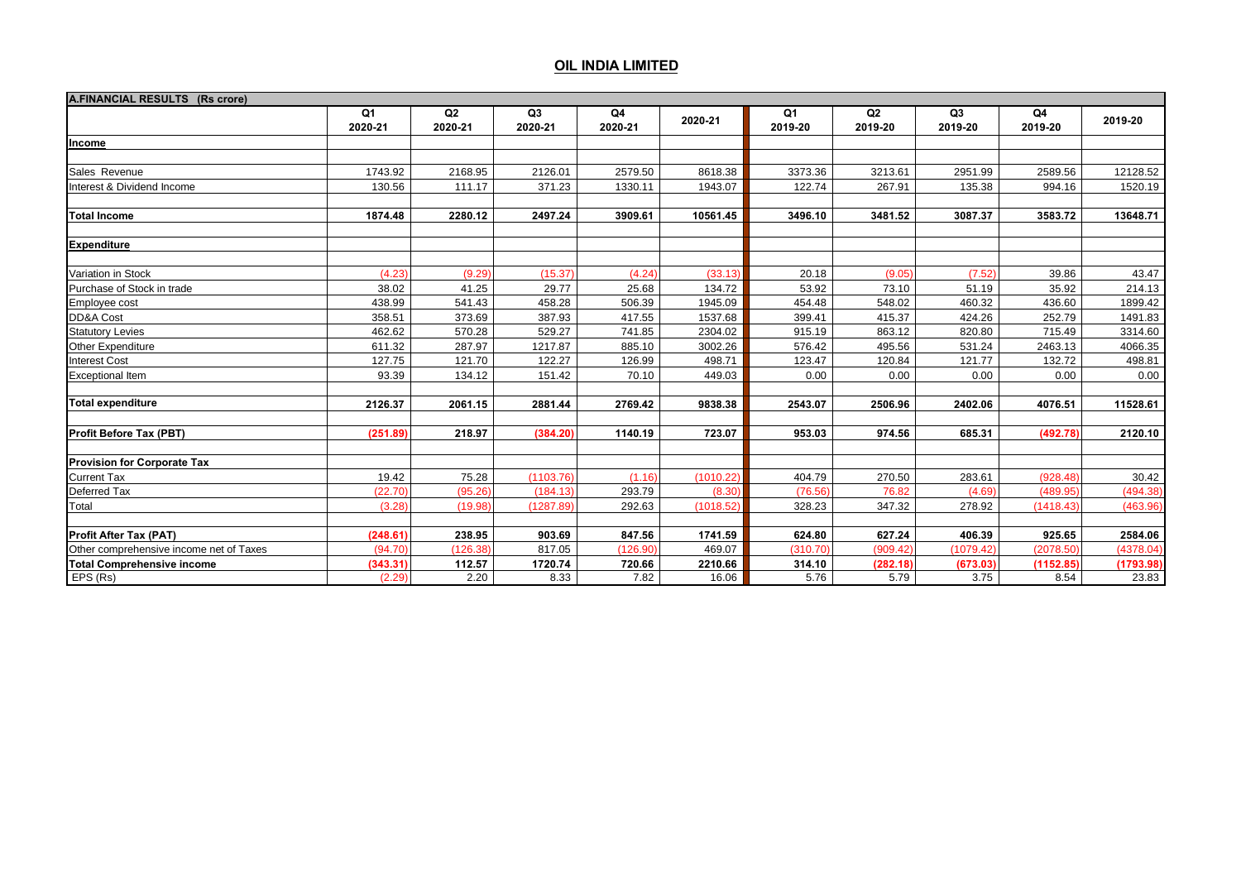| A.FINANCIAL RESULTS (Rs crore)                                           |                           |                           |               |               |           |               |               |               |               |           |
|--------------------------------------------------------------------------|---------------------------|---------------------------|---------------|---------------|-----------|---------------|---------------|---------------|---------------|-----------|
|                                                                          | Q <sub>1</sub><br>2020-21 | Q <sub>2</sub><br>2020-21 | Q3<br>2020-21 | Q4<br>2020-21 | 2020-21   | Q1<br>2019-20 | Q2<br>2019-20 | Q3<br>2019-20 | Q4<br>2019-20 | 2019-20   |
| Income                                                                   |                           |                           |               |               |           |               |               |               |               |           |
|                                                                          |                           |                           |               |               |           |               |               |               |               |           |
| Sales Revenue                                                            | 1743.92                   | 2168.95                   | 2126.01       | 2579.50       | 8618.38   | 3373.36       | 3213.61       | 2951.99       | 2589.56       | 12128.52  |
| Interest & Dividend Income                                               | 130.56                    | 111.17                    | 371.23        | 1330.11       | 1943.07   | 122.74        | 267.91        | 135.38        | 994.16        | 1520.19   |
|                                                                          |                           |                           |               |               |           |               |               |               |               |           |
| <b>Total Income</b>                                                      | 1874.48                   | 2280.12                   | 2497.24       | 3909.61       | 10561.45  | 3496.10       | 3481.52       | 3087.37       | 3583.72       | 13648.71  |
| <b>Expenditure</b>                                                       |                           |                           |               |               |           |               |               |               |               |           |
| Variation in Stock                                                       | (4.23)                    | (9.29)                    | (15.37)       | (4.24)        | (33.13)   | 20.18         | (9.05)        | (7.52)        | 39.86         | 43.47     |
| Purchase of Stock in trade                                               | 38.02                     | 41.25                     | 29.77         | 25.68         | 134.72    | 53.92         | 73.10         | 51.19         | 35.92         | 214.13    |
| Employee cost                                                            | 438.99                    | 541.43                    | 458.28        | 506.39        | 1945.09   | 454.48        | 548.02        | 460.32        | 436.60        | 1899.42   |
| DD&A Cost                                                                | 358.51                    | 373.69                    | 387.93        | 417.55        | 1537.68   | 399.41        | 415.37        | 424.26        | 252.79        | 1491.83   |
| <b>Statutory Levies</b>                                                  | 462.62                    | 570.28                    | 529.27        | 741.85        | 2304.02   | 915.19        | 863.12        | 820.80        | 715.49        | 3314.60   |
| <b>Other Expenditure</b>                                                 | 611.32                    | 287.97                    | 1217.87       | 885.10        | 3002.26   | 576.42        | 495.56        | 531.24        | 2463.13       | 4066.35   |
| <b>Interest Cost</b>                                                     | 127.75                    | 121.70                    | 122.27        | 126.99        | 498.71    | 123.47        | 120.84        | 121.77        | 132.72        | 498.81    |
| <b>Exceptional Item</b>                                                  | 93.39                     | 134.12                    | 151.42        | 70.10         | 449.03    | 0.00          | 0.00          | 0.00          | 0.00          | 0.00      |
| <b>Total expenditure</b>                                                 | 2126.37                   | 2061.15                   | 2881.44       | 2769.42       | 9838.38   | 2543.07       | 2506.96       | 2402.06       | 4076.51       | 11528.61  |
| <b>Profit Before Tax (PBT)</b>                                           | (251.89)                  | 218.97                    | (384.20)      | 1140.19       | 723.07    | 953.03        | 974.56        | 685.31        | (492.78)      | 2120.10   |
| <b>Provision for Corporate Tax</b>                                       |                           |                           |               |               |           |               |               |               |               |           |
| <b>Current Tax</b>                                                       | 19.42                     | 75.28                     | (1103.76)     | (1.16)        | (1010.22) | 404.79        | 270.50        | 283.61        | (928.48)      | 30.42     |
| Deferred Tax                                                             | (22.70)                   | (95.26)                   | (184.13)      | 293.79        | (8.30)    | (76.56)       | 76.82         | (4.69)        | (489.95)      | (494.38)  |
| Total                                                                    | (3.28)                    | (19.98)                   | (1287.89)     | 292.63        | (1018.52) | 328.23        | 347.32        | 278.92        | (1418.43)     | (463.96)  |
|                                                                          | (248.61)                  | 238.95                    | 903.69        | 847.56        | 1741.59   | 624.80        | 627.24        | 406.39        | 925.65        | 2584.06   |
| <b>Profit After Tax (PAT)</b><br>Other comprehensive income net of Taxes | (94.70)                   | (126.38)                  | 817.05        | (126.90)      | 469.07    | (310.70)      | (909.42)      | (1079.42)     | (2078.50)     | (4378.04) |
| <b>Total Comprehensive income</b>                                        | (343.31)                  | 112.57                    | 1720.74       | 720.66        | 2210.66   | 314.10        | (282.18)      | (673.03)      | (1152.85)     | (1793.98) |
| EPS (Rs)                                                                 | (2.29)                    | 2.20                      | 8.33          | 7.82          | 16.06     | 5.76          | 5.79          | 3.75          | 8.54          | 23.83     |
|                                                                          |                           |                           |               |               |           |               |               |               |               |           |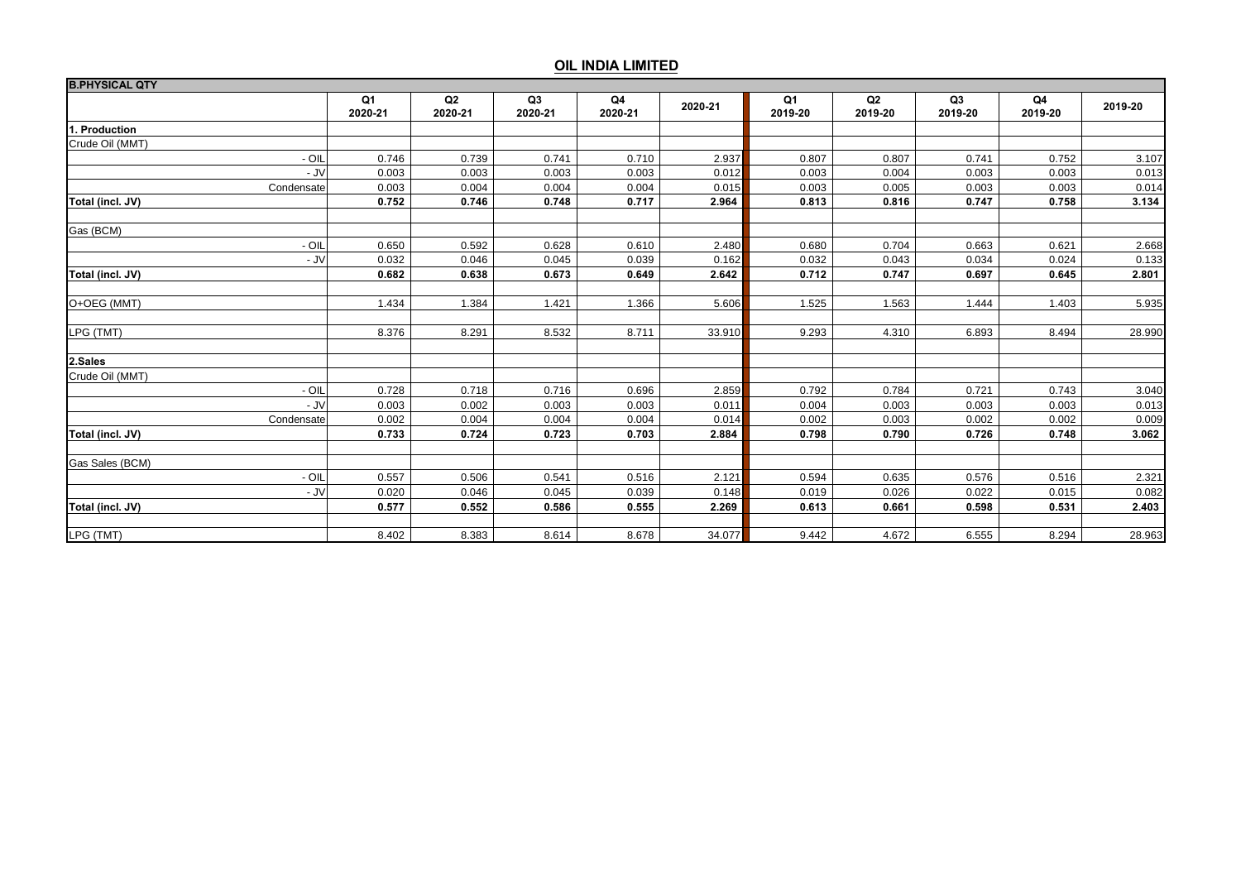| <b>B.PHYSICAL QTY</b> |               |                           |               |               |         |               |               |                           |               |         |
|-----------------------|---------------|---------------------------|---------------|---------------|---------|---------------|---------------|---------------------------|---------------|---------|
|                       | Q1<br>2020-21 | Q <sub>2</sub><br>2020-21 | Q3<br>2020-21 | Q4<br>2020-21 | 2020-21 | Q1<br>2019-20 | Q2<br>2019-20 | Q <sub>3</sub><br>2019-20 | Q4<br>2019-20 | 2019-20 |
| 1. Production         |               |                           |               |               |         |               |               |                           |               |         |
| Crude Oil (MMT)       |               |                           |               |               |         |               |               |                           |               |         |
| $-$ OIL               | 0.746         | 0.739                     | 0.741         | 0.710         | 2.937   | 0.807         | 0.807         | 0.741                     | 0.752         | 3.107   |
| - JV                  | 0.003         | 0.003                     | 0.003         | 0.003         | 0.012   | 0.003         | 0.004         | 0.003                     | 0.003         | 0.013   |
| Condensate            | 0.003         | 0.004                     | 0.004         | 0.004         | 0.015   | 0.003         | 0.005         | 0.003                     | 0.003         | 0.014   |
| Total (incl. JV)      | 0.752         | 0.746                     | 0.748         | 0.717         | 2.964   | 0.813         | 0.816         | 0.747                     | 0.758         | 3.134   |
| Gas (BCM)             |               |                           |               |               |         |               |               |                           |               |         |
| $-$ OIL               | 0.650         | 0.592                     | 0.628         | 0.610         | 2.480   | 0.680         | 0.704         | 0.663                     | 0.621         | 2.668   |
| - JV                  | 0.032         | 0.046                     | 0.045         | 0.039         | 0.162   | 0.032         | 0.043         | 0.034                     | 0.024         | 0.133   |
| Total (incl. JV)      | 0.682         | 0.638                     | 0.673         | 0.649         | 2.642   | 0.712         | 0.747         | 0.697                     | 0.645         | 2.801   |
| O+OEG (MMT)           | 1.434         | 1.384                     | 1.421         | 1.366         | 5.606   | 1.525         | 1.563         | 1.444                     | 1.403         | 5.935   |
| LPG (TMT)             | 8.376         | 8.291                     | 8.532         | 8.711         | 33.910  | 9.293         | 4.310         | 6.893                     | 8.494         | 28.990  |
| 2.Sales               |               |                           |               |               |         |               |               |                           |               |         |
| Crude Oil (MMT)       |               |                           |               |               |         |               |               |                           |               |         |
| $-$ OIL               | 0.728         | 0.718                     | 0.716         | 0.696         | 2.859   | 0.792         | 0.784         | 0.721                     | 0.743         | 3.040   |
| - JV                  | 0.003         | 0.002                     | 0.003         | 0.003         | 0.011   | 0.004         | 0.003         | 0.003                     | 0.003         | 0.013   |
| Condensate            | 0.002         | 0.004                     | 0.004         | 0.004         | 0.014   | 0.002         | 0.003         | 0.002                     | 0.002         | 0.009   |
| Total (incl. JV)      | 0.733         | 0.724                     | 0.723         | 0.703         | 2.884   | 0.798         | 0.790         | 0.726                     | 0.748         | 3.062   |
| Gas Sales (BCM)       |               |                           |               |               |         |               |               |                           |               |         |
| $-$ OIL               | 0.557         | 0.506                     | 0.541         | 0.516         | 2.121   | 0.594         | 0.635         | 0.576                     | 0.516         | 2.321   |
| - JV                  | 0.020         | 0.046                     | 0.045         | 0.039         | 0.148   | 0.019         | 0.026         | 0.022                     | 0.015         | 0.082   |
| Total (incl. JV)      | 0.577         | 0.552                     | 0.586         | 0.555         | 2.269   | 0.613         | 0.661         | 0.598                     | 0.531         | 2.403   |
| LPG (TMT)             | 8.402         | 8.383                     | 8.614         | 8.678         | 34.077  | 9.442         | 4.672         | 6.555                     | 8.294         | 28.963  |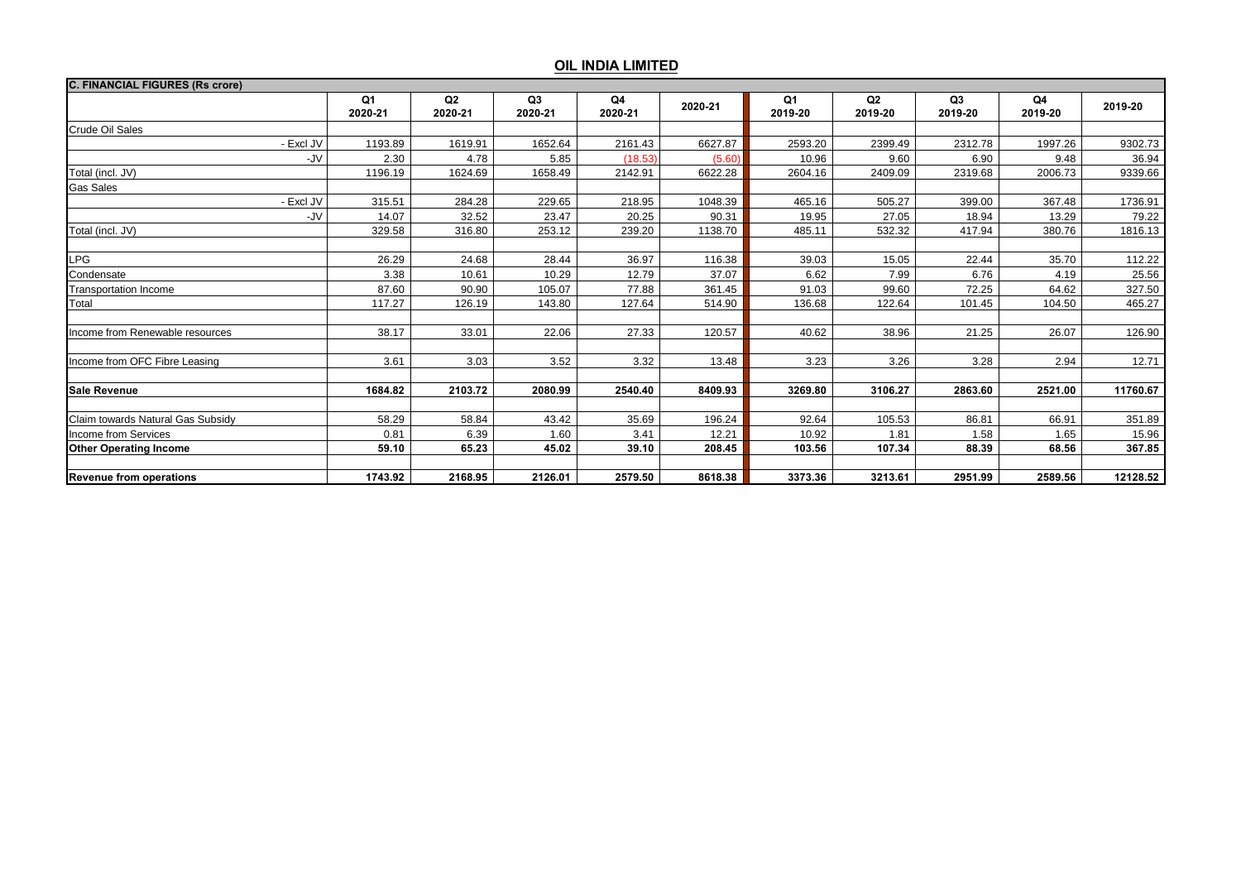| <b>C. FINANCIAL FIGURES (Rs crore)</b> |               |               |               |               |         |               |               |               |               |          |
|----------------------------------------|---------------|---------------|---------------|---------------|---------|---------------|---------------|---------------|---------------|----------|
|                                        | Q1<br>2020-21 | Q2<br>2020-21 | Q3<br>2020-21 | Q4<br>2020-21 | 2020-21 | Q1<br>2019-20 | Q2<br>2019-20 | Q3<br>2019-20 | Q4<br>2019-20 | 2019-20  |
| <b>Crude Oil Sales</b>                 |               |               |               |               |         |               |               |               |               |          |
| - Excl JV                              | 1193.89       | 1619.91       | 1652.64       | 2161.43       | 6627.87 | 2593.20       | 2399.49       | 2312.78       | 1997.26       | 9302.73  |
| -JV                                    | 2.30          | 4.78          | 5.85          | (18.53)       | (5.60)  | 10.96         | 9.60          | 6.90          | 9.48          | 36.94    |
| Total (incl. JV)                       | 1196.19       | 1624.69       | 1658.49       | 2142.91       | 6622.28 | 2604.16       | 2409.09       | 2319.68       | 2006.73       | 9339.66  |
| <b>Gas Sales</b>                       |               |               |               |               |         |               |               |               |               |          |
| - Excl JV                              | 315.51        | 284.28        | 229.65        | 218.95        | 1048.39 | 465.16        | 505.27        | 399.00        | 367.48        | 1736.91  |
| -JV                                    | 14.07         | 32.52         | 23.47         | 20.25         | 90.31   | 19.95         | 27.05         | 18.94         | 13.29         | 79.22    |
| Total (incl. JV)                       | 329.58        | 316.80        | 253.12        | 239.20        | 1138.70 | 485.11        | 532.32        | 417.94        | 380.76        | 1816.13  |
|                                        |               |               |               |               |         |               |               |               |               |          |
| LPG                                    | 26.29         | 24.68         | 28.44         | 36.97         | 116.38  | 39.03         | 15.05         | 22.44         | 35.70         | 112.22   |
| Condensate                             | 3.38          | 10.61         | 10.29         | 12.79         | 37.07   | 6.62          | 7.99          | 6.76          | 4.19          | 25.56    |
| <b>Transportation Income</b>           | 87.60         | 90.90         | 105.07        | 77.88         | 361.45  | 91.03         | 99.60         | 72.25         | 64.62         | 327.50   |
| Total                                  | 117.27        | 126.19        | 143.80        | 127.64        | 514.90  | 136.68        | 122.64        | 101.45        | 104.50        | 465.27   |
|                                        |               |               |               |               |         |               |               |               |               |          |
| Income from Renewable resources        | 38.17         | 33.01         | 22.06         | 27.33         | 120.57  | 40.62         | 38.96         | 21.25         | 26.07         | 126.90   |
|                                        |               |               |               |               |         |               |               |               |               |          |
| Income from OFC Fibre Leasing          | 3.61          | 3.03          | 3.52          | 3.32          | 13.48   | 3.23          | 3.26          | 3.28          | 2.94          | 12.71    |
|                                        |               |               |               |               |         |               |               |               |               |          |
| <b>Sale Revenue</b>                    | 1684.82       | 2103.72       | 2080.99       | 2540.40       | 8409.93 | 3269.80       | 3106.27       | 2863.60       | 2521.00       | 11760.67 |
| Claim towards Natural Gas Subsidy      | 58.29         | 58.84         | 43.42         | 35.69         | 196.24  | 92.64         | 105.53        | 86.81         | 66.91         | 351.89   |
| <b>Income from Services</b>            | 0.81          | 6.39          | 1.60          | 3.41          | 12.21   | 10.92         | 1.81          | 1.58          | 1.65          | 15.96    |
| <b>Other Operating Income</b>          | 59.10         | 65.23         | 45.02         | 39.10         | 208.45  | 103.56        | 107.34        | 88.39         | 68.56         | 367.85   |
|                                        |               |               |               |               |         |               |               |               |               |          |
| <b>Revenue from operations</b>         | 1743.92       | 2168.95       | 2126.01       | 2579.50       | 8618.38 | 3373.36       | 3213.61       | 2951.99       | 2589.56       | 12128.52 |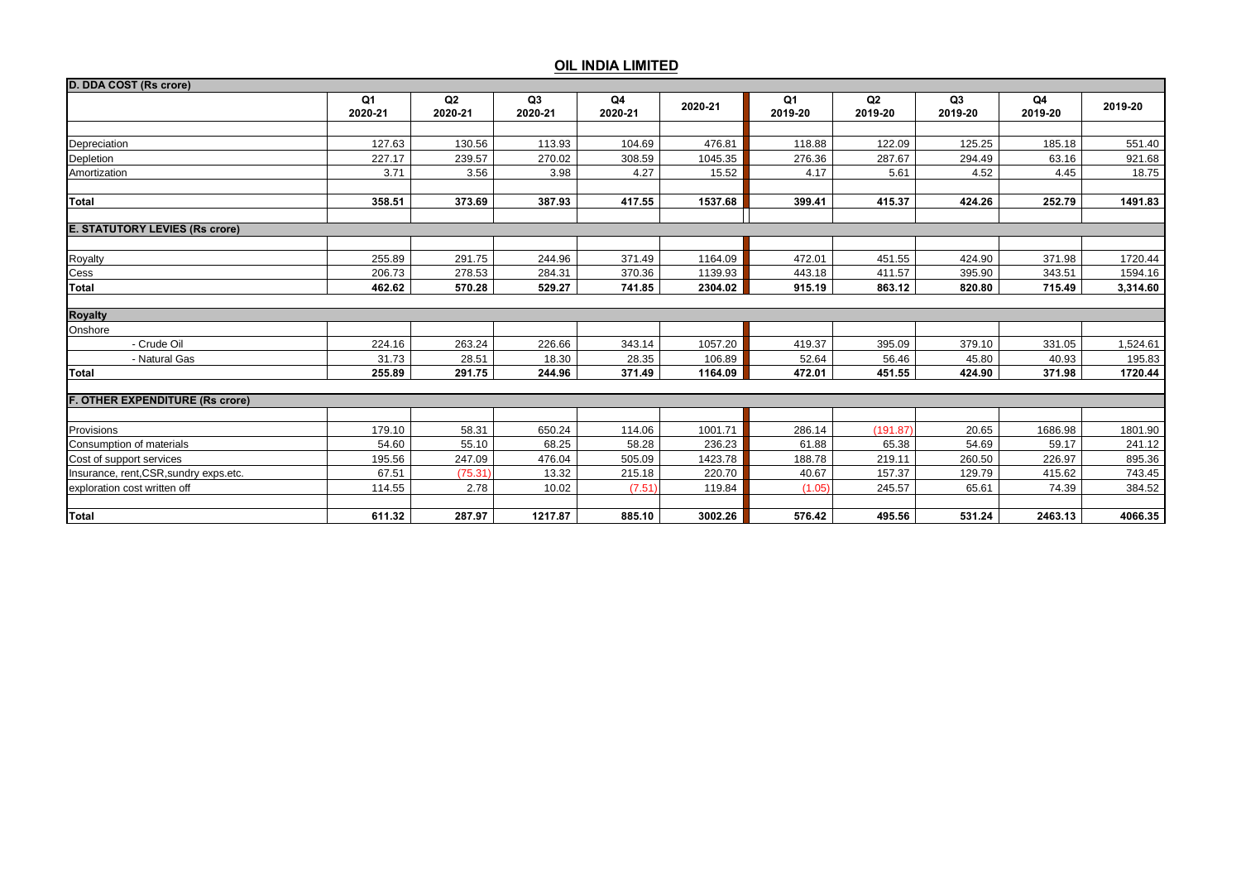| D. DDA COST (Rs crore)                 |                           |               |                           |               |         |               |                           |                           |               |          |
|----------------------------------------|---------------------------|---------------|---------------------------|---------------|---------|---------------|---------------------------|---------------------------|---------------|----------|
|                                        | Q <sub>1</sub><br>2020-21 | Q2<br>2020-21 | Q <sub>3</sub><br>2020-21 | Q4<br>2020-21 | 2020-21 | Q1<br>2019-20 | Q <sub>2</sub><br>2019-20 | Q <sub>3</sub><br>2019-20 | Q4<br>2019-20 | 2019-20  |
|                                        |                           |               |                           |               |         |               |                           |                           |               |          |
| Depreciation                           | 127.63                    | 130.56        | 113.93                    | 104.69        | 476.81  | 118.88        | 122.09                    | 125.25                    | 185.18        | 551.40   |
| Depletion                              | 227.17                    | 239.57        | 270.02                    | 308.59        | 1045.35 | 276.36        | 287.67                    | 294.49                    | 63.16         | 921.68   |
| Amortization                           | 3.71                      | 3.56          | 3.98                      | 4.27          | 15.52   | 4.17          | 5.61                      | 4.52                      | 4.45          | 18.75    |
| <b>Total</b>                           | 358.51                    | 373.69        | 387.93                    | 417.55        | 1537.68 | 399.41        | 415.37                    | 424.26                    | 252.79        | 1491.83  |
| <b>E. STATUTORY LEVIES (Rs crore)</b>  |                           |               |                           |               |         |               |                           |                           |               |          |
|                                        |                           |               |                           |               |         |               |                           |                           |               |          |
| Royalty                                | 255.89                    | 291.75        | 244.96                    | 371.49        | 1164.09 | 472.01        | 451.55                    | 424.90                    | 371.98        | 1720.44  |
| Cess                                   | 206.73                    | 278.53        | 284.31                    | 370.36        | 1139.93 | 443.18        | 411.57                    | 395.90                    | 343.51        | 1594.16  |
| Total                                  | 462.62                    | 570.28        | 529.27                    | 741.85        | 2304.02 | 915.19        | 863.12                    | 820.80                    | 715.49        | 3,314.60 |
| <b>Royalty</b>                         |                           |               |                           |               |         |               |                           |                           |               |          |
| Onshore                                |                           |               |                           |               |         |               |                           |                           |               |          |
| - Crude Oil                            | 224.16                    | 263.24        | 226.66                    | 343.14        | 1057.20 | 419.37        | 395.09                    | 379.10                    | 331.05        | 1,524.61 |
| - Natural Gas                          | 31.73                     | 28.51         | 18.30                     | 28.35         | 106.89  | 52.64         | 56.46                     | 45.80                     | 40.93         | 195.83   |
| Total                                  | 255.89                    | 291.75        | 244.96                    | 371.49        | 1164.09 | 472.01        | 451.55                    | 424.90                    | 371.98        | 1720.44  |
| <b>F. OTHER EXPENDITURE (Rs crore)</b> |                           |               |                           |               |         |               |                           |                           |               |          |
|                                        |                           |               |                           |               |         |               |                           |                           |               |          |
| Provisions                             | 179.10                    | 58.31         | 650.24                    | 114.06        | 1001.71 | 286.14        | (191.87)                  | 20.65                     | 1686.98       | 1801.90  |
| Consumption of materials               | 54.60                     | 55.10         | 68.25                     | 58.28         | 236.23  | 61.88         | 65.38                     | 54.69                     | 59.17         | 241.12   |
| Cost of support services               | 195.56                    | 247.09        | 476.04                    | 505.09        | 1423.78 | 188.78        | 219.11                    | 260.50                    | 226.97        | 895.36   |
| Insurance, rent, CSR, sundry exps.etc. | 67.51                     | (75.31)       | 13.32                     | 215.18        | 220.70  | 40.67         | 157.37                    | 129.79                    | 415.62        | 743.45   |
| exploration cost written off           | 114.55                    | 2.78          | 10.02                     | (7.51)        | 119.84  | (1.05)        | 245.57                    | 65.61                     | 74.39         | 384.52   |
| <b>Total</b>                           | 611.32                    | 287.97        | 1217.87                   | 885.10        | 3002.26 | 576.42        | 495.56                    | 531.24                    | 2463.13       | 4066.35  |